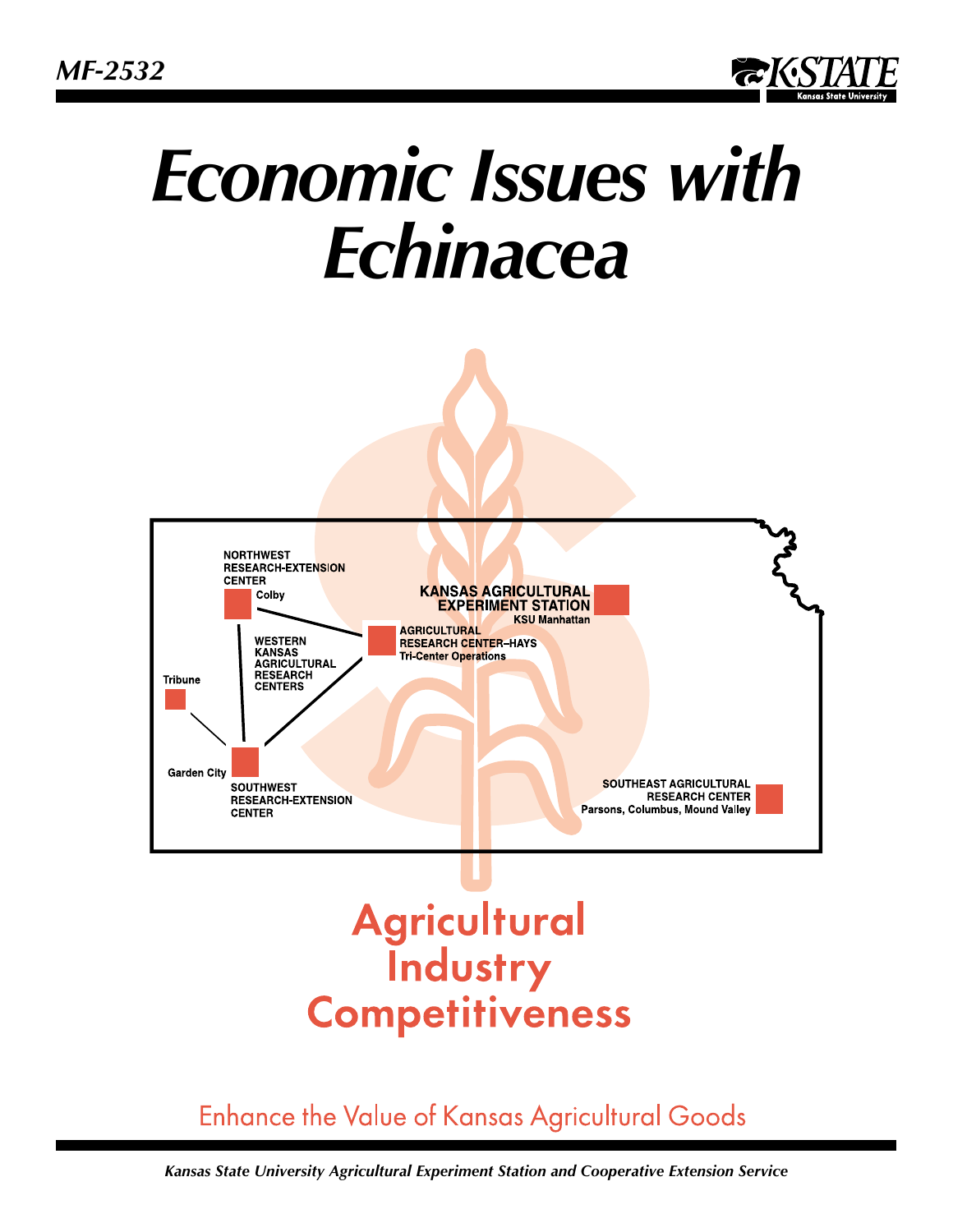

# *Economic Issues with Echinacea*



# **Agricultural**<br>**Industry Competitiveness**

# **Enhance the Value of Kansas Agricultural Goods**

*Kansas State University Agricultural Experiment Station and Cooperative Extension Service*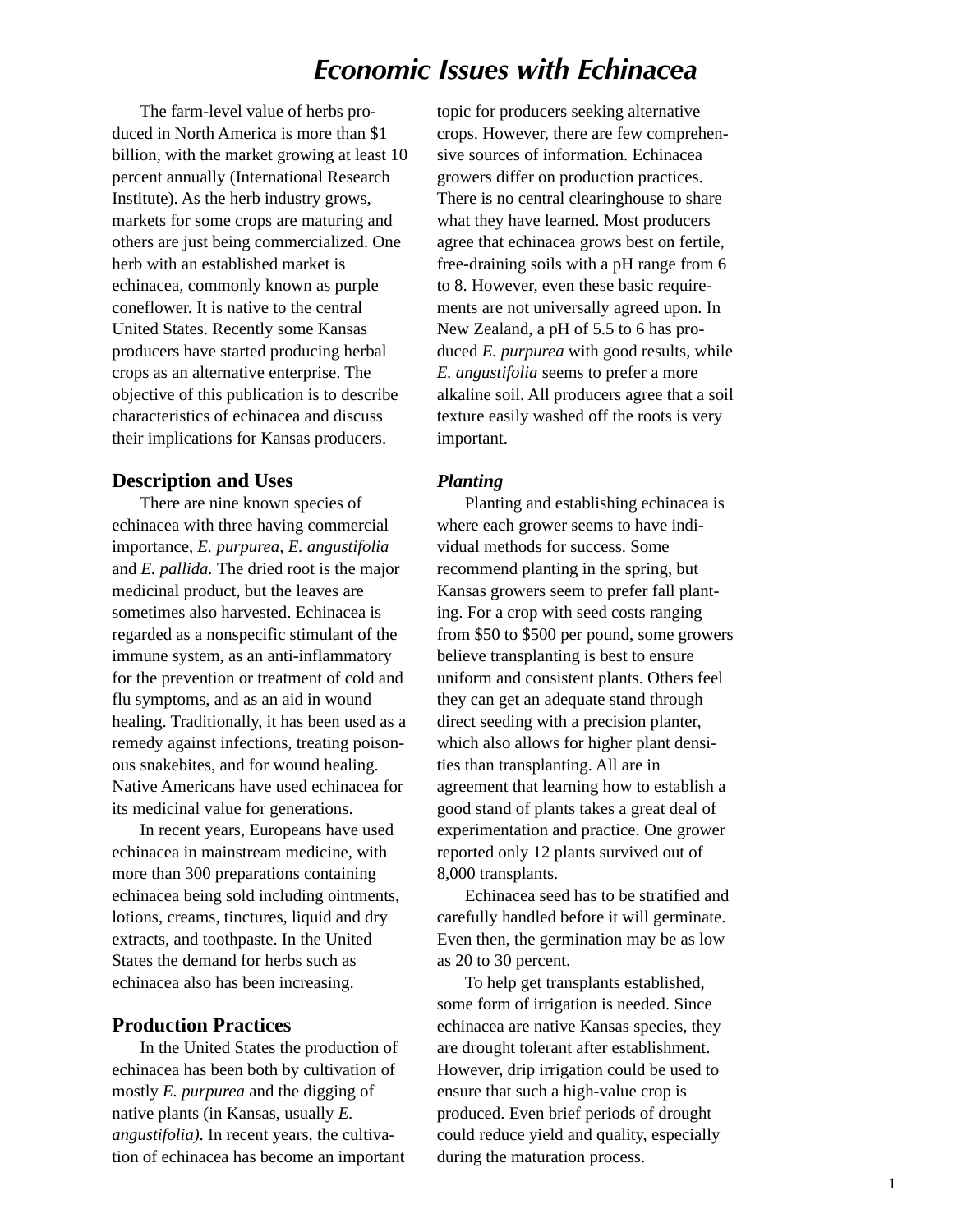# *Economic Issues with Echinacea*

The farm-level value of herbs produced in North America is more than \$1 billion, with the market growing at least 10 percent annually (International Research Institute). As the herb industry grows, markets for some crops are maturing and others are just being commercialized. One herb with an established market is echinacea*,* commonly known as purple coneflower. It is native to the central United States. Recently some Kansas producers have started producing herbal crops as an alternative enterprise. The objective of this publication is to describe characteristics of echinacea and discuss their implications for Kansas producers.

#### **Description and Uses**

There are nine known species of echinacea with three having commercial importance, *E. purpurea, E. angustifolia* and *E. pallida.* The dried root is the major medicinal product, but the leaves are sometimes also harvested. Echinacea is regarded as a nonspecific stimulant of the immune system, as an anti-inflammatory for the prevention or treatment of cold and flu symptoms, and as an aid in wound healing. Traditionally, it has been used as a remedy against infections, treating poisonous snakebites, and for wound healing. Native Americans have used echinacea for its medicinal value for generations.

In recent years, Europeans have used echinacea in mainstream medicine, with more than 300 preparations containing echinacea being sold including ointments, lotions, creams, tinctures, liquid and dry extracts, and toothpaste. In the United States the demand for herbs such as echinacea also has been increasing.

### **Production Practices**

In the United States the production of echinacea has been both by cultivation of mostly *E. purpurea* and the digging of native plants (in Kansas, usually *E. angustifolia)*. In recent years, the cultivation of echinacea has become an important

topic for producers seeking alternative crops. However, there are few comprehensive sources of information. Echinacea growers differ on production practices. There is no central clearinghouse to share what they have learned. Most producers agree that echinacea grows best on fertile, free-draining soils with a pH range from 6 to 8. However, even these basic requirements are not universally agreed upon. In New Zealand, a pH of 5.5 to 6 has produced *E. purpurea* with good results, while *E. angustifolia* seems to prefer a more alkaline soil. All producers agree that a soil texture easily washed off the roots is very important.

#### *Planting*

Planting and establishing echinacea is where each grower seems to have individual methods for success. Some recommend planting in the spring, but Kansas growers seem to prefer fall planting. For a crop with seed costs ranging from \$50 to \$500 per pound, some growers believe transplanting is best to ensure uniform and consistent plants. Others feel they can get an adequate stand through direct seeding with a precision planter, which also allows for higher plant densities than transplanting. All are in agreement that learning how to establish a good stand of plants takes a great deal of experimentation and practice. One grower reported only 12 plants survived out of 8,000 transplants.

Echinacea seed has to be stratified and carefully handled before it will germinate. Even then, the germination may be as low as 20 to 30 percent.

To help get transplants established, some form of irrigation is needed. Since echinacea are native Kansas species, they are drought tolerant after establishment. However, drip irrigation could be used to ensure that such a high-value crop is produced. Even brief periods of drought could reduce yield and quality, especially during the maturation process.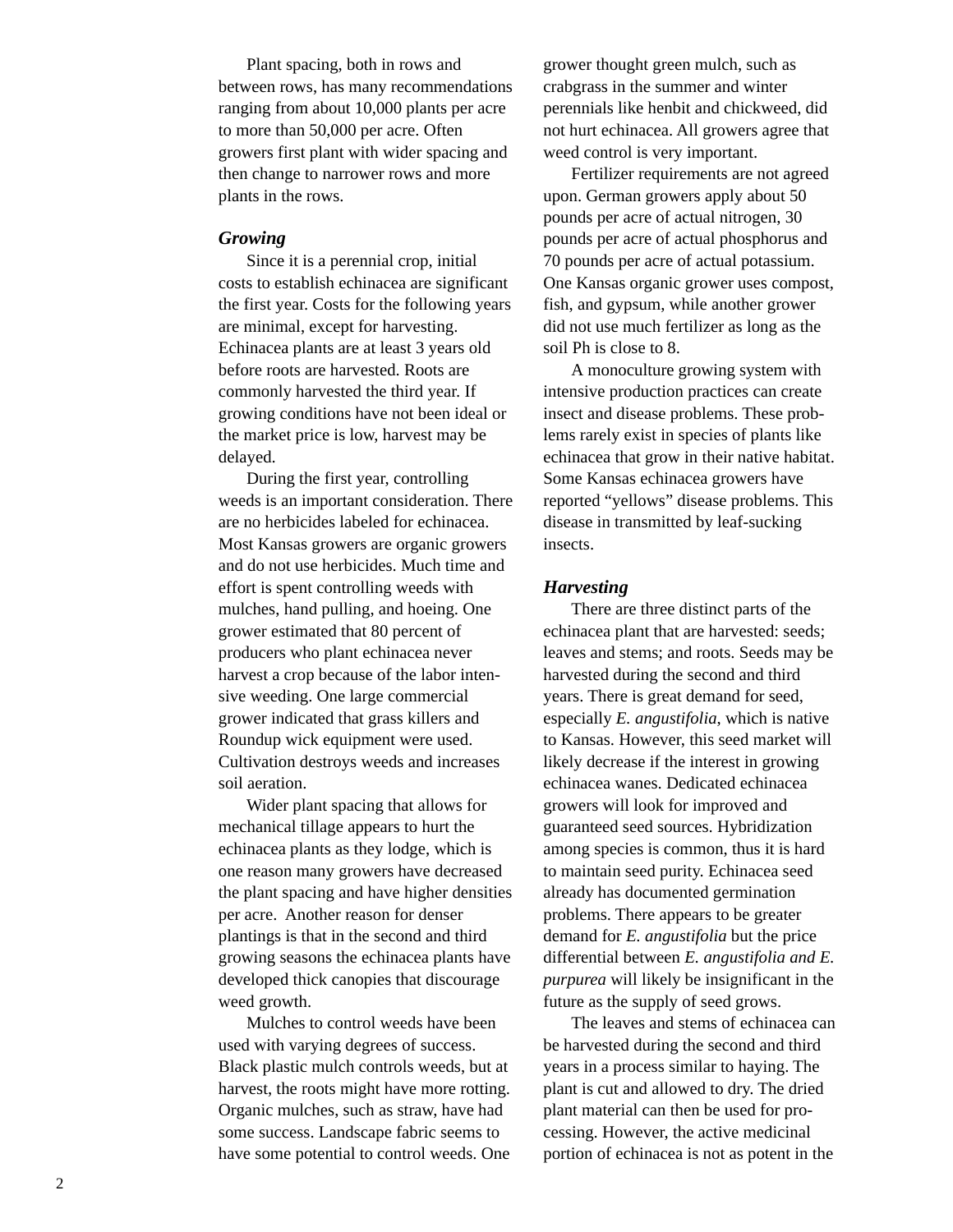Plant spacing, both in rows and between rows, has many recommendations ranging from about 10,000 plants per acre to more than 50,000 per acre. Often growers first plant with wider spacing and then change to narrower rows and more plants in the rows.

#### *Growing*

Since it is a perennial crop, initial costs to establish echinacea are significant the first year. Costs for the following years are minimal, except for harvesting. Echinacea plants are at least 3 years old before roots are harvested. Roots are commonly harvested the third year. If growing conditions have not been ideal or the market price is low, harvest may be delayed.

During the first year, controlling weeds is an important consideration. There are no herbicides labeled for echinacea. Most Kansas growers are organic growers and do not use herbicides. Much time and effort is spent controlling weeds with mulches, hand pulling, and hoeing. One grower estimated that 80 percent of producers who plant echinacea never harvest a crop because of the labor intensive weeding. One large commercial grower indicated that grass killers and Roundup wick equipment were used. Cultivation destroys weeds and increases soil aeration.

Wider plant spacing that allows for mechanical tillage appears to hurt the echinacea plants as they lodge, which is one reason many growers have decreased the plant spacing and have higher densities per acre. Another reason for denser plantings is that in the second and third growing seasons the echinacea plants have developed thick canopies that discourage weed growth.

Mulches to control weeds have been used with varying degrees of success. Black plastic mulch controls weeds, but at harvest, the roots might have more rotting. Organic mulches, such as straw, have had some success. Landscape fabric seems to have some potential to control weeds. One grower thought green mulch, such as crabgrass in the summer and winter perennials like henbit and chickweed, did not hurt echinacea. All growers agree that weed control is very important.

Fertilizer requirements are not agreed upon. German growers apply about 50 pounds per acre of actual nitrogen, 30 pounds per acre of actual phosphorus and 70 pounds per acre of actual potassium. One Kansas organic grower uses compost, fish, and gypsum, while another grower did not use much fertilizer as long as the soil Ph is close to 8.

A monoculture growing system with intensive production practices can create insect and disease problems. These problems rarely exist in species of plants like echinacea that grow in their native habitat. Some Kansas echinacea growers have reported "yellows" disease problems. This disease in transmitted by leaf-sucking insects.

#### *Harvesting*

There are three distinct parts of the echinacea plant that are harvested: seeds; leaves and stems; and roots. Seeds may be harvested during the second and third years. There is great demand for seed, especially *E. angustifolia*, which is native to Kansas. However, this seed market will likely decrease if the interest in growing echinacea wanes. Dedicated echinacea growers will look for improved and guaranteed seed sources. Hybridization among species is common, thus it is hard to maintain seed purity. Echinacea seed already has documented germination problems. There appears to be greater demand for *E. angustifolia* but the price differential between *E. angustifolia and E. purpurea* will likely be insignificant in the future as the supply of seed grows.

The leaves and stems of echinacea can be harvested during the second and third years in a process similar to haying. The plant is cut and allowed to dry. The dried plant material can then be used for processing. However, the active medicinal portion of echinacea is not as potent in the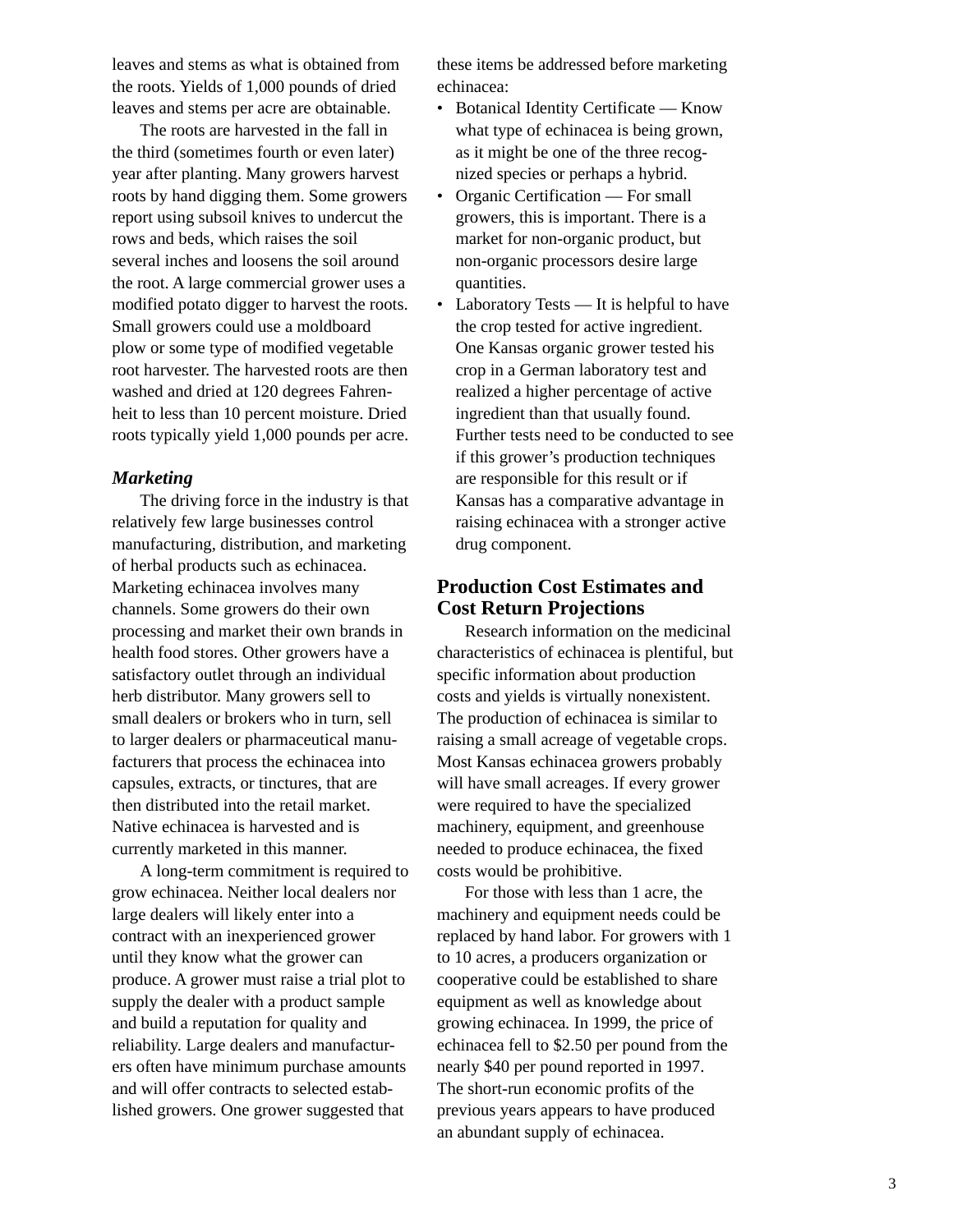leaves and stems as what is obtained from the roots. Yields of 1,000 pounds of dried leaves and stems per acre are obtainable.

The roots are harvested in the fall in the third (sometimes fourth or even later) year after planting. Many growers harvest roots by hand digging them. Some growers report using subsoil knives to undercut the rows and beds, which raises the soil several inches and loosens the soil around the root. A large commercial grower uses a modified potato digger to harvest the roots. Small growers could use a moldboard plow or some type of modified vegetable root harvester. The harvested roots are then washed and dried at 120 degrees Fahrenheit to less than 10 percent moisture. Dried roots typically yield 1,000 pounds per acre.

#### *Marketing*

The driving force in the industry is that relatively few large businesses control manufacturing, distribution, and marketing of herbal products such as echinacea. Marketing echinacea involves many channels. Some growers do their own processing and market their own brands in health food stores. Other growers have a satisfactory outlet through an individual herb distributor. Many growers sell to small dealers or brokers who in turn, sell to larger dealers or pharmaceutical manufacturers that process the echinacea into capsules, extracts, or tinctures, that are then distributed into the retail market. Native echinacea is harvested and is currently marketed in this manner.

A long-term commitment is required to grow echinacea. Neither local dealers nor large dealers will likely enter into a contract with an inexperienced grower until they know what the grower can produce. A grower must raise a trial plot to supply the dealer with a product sample and build a reputation for quality and reliability. Large dealers and manufacturers often have minimum purchase amounts and will offer contracts to selected established growers. One grower suggested that

these items be addressed before marketing echinacea:

- Botanical Identity Certificate Know what type of echinacea is being grown, as it might be one of the three recognized species or perhaps a hybrid.
- Organic Certification For small growers, this is important. There is a market for non-organic product, but non-organic processors desire large quantities.
- Laboratory Tests It is helpful to have the crop tested for active ingredient. One Kansas organic grower tested his crop in a German laboratory test and realized a higher percentage of active ingredient than that usually found. Further tests need to be conducted to see if this grower's production techniques are responsible for this result or if Kansas has a comparative advantage in raising echinacea with a stronger active drug component.

## **Production Cost Estimates and Cost Return Projections**

Research information on the medicinal characteristics of echinacea is plentiful, but specific information about production costs and yields is virtually nonexistent. The production of echinacea is similar to raising a small acreage of vegetable crops. Most Kansas echinacea growers probably will have small acreages. If every grower were required to have the specialized machinery, equipment, and greenhouse needed to produce echinacea*,* the fixed costs would be prohibitive.

For those with less than 1 acre, the machinery and equipment needs could be replaced by hand labor. For growers with 1 to 10 acres, a producers organization or cooperative could be established to share equipment as well as knowledge about growing echinacea*.* In 1999, the price of echinacea fell to \$2.50 per pound from the nearly \$40 per pound reported in 1997. The short-run economic profits of the previous years appears to have produced an abundant supply of echinacea.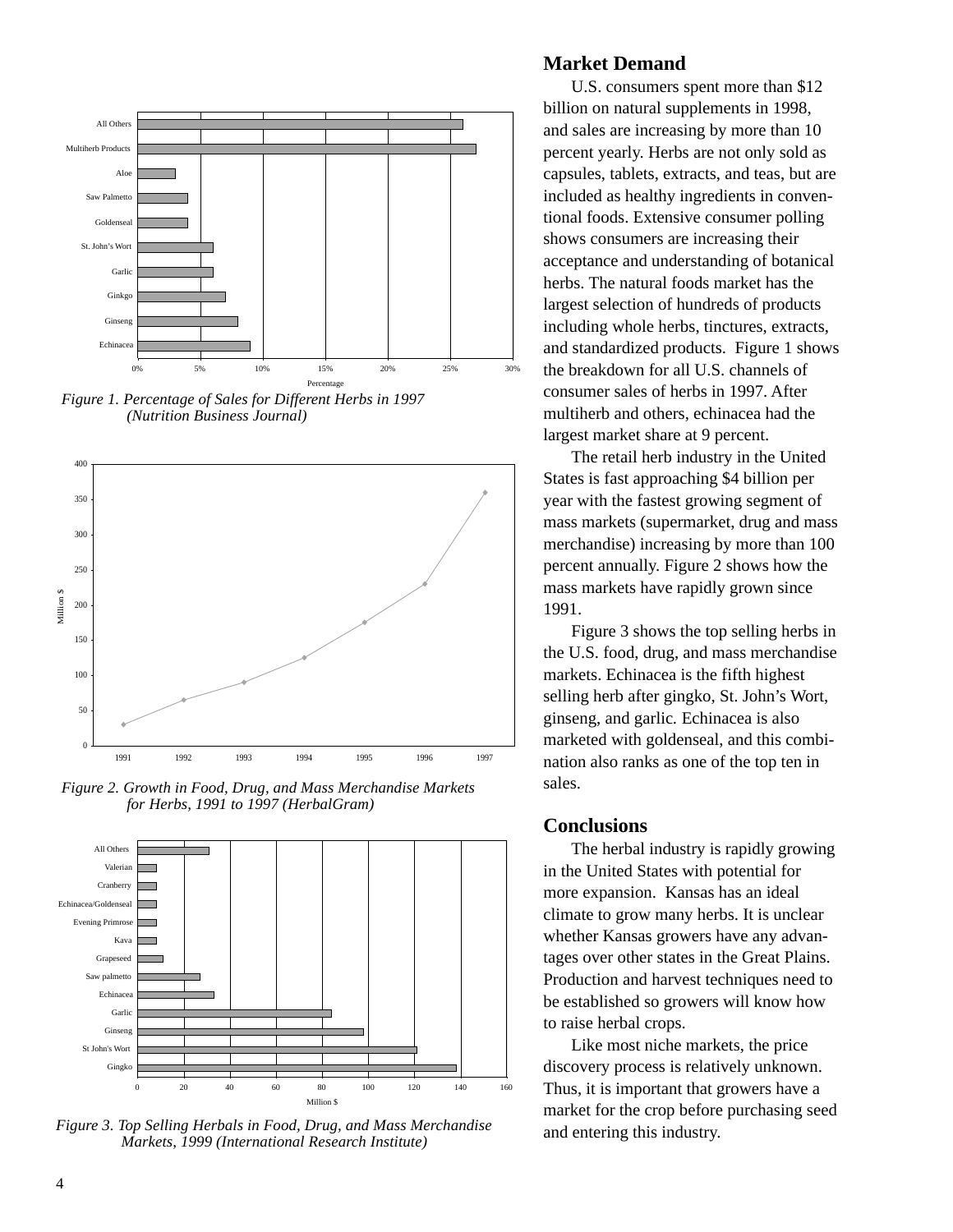

*Figure 1. Percentage of Sales for Different Herbs in 1997 (Nutrition Business Journal)*



*Figure 2. Growth in Food, Drug, and Mass Merchandise Markets for Herbs, 1991 to 1997 (HerbalGram)*



*Figure 3. Top Selling Herbals in Food, Drug, and Mass Merchandise Markets, 1999 (International Research Institute)*

### **Market Demand**

U.S. consumers spent more than \$12 billion on natural supplements in 1998, and sales are increasing by more than 10 percent yearly. Herbs are not only sold as capsules, tablets, extracts, and teas, but are included as healthy ingredients in conventional foods. Extensive consumer polling shows consumers are increasing their acceptance and understanding of botanical herbs. The natural foods market has the largest selection of hundreds of products including whole herbs, tinctures, extracts, and standardized products. Figure 1 shows the breakdown for all U.S. channels of consumer sales of herbs in 1997. After multiherb and others, echinacea had the largest market share at 9 percent.

The retail herb industry in the United States is fast approaching \$4 billion per year with the fastest growing segment of mass markets (supermarket, drug and mass merchandise) increasing by more than 100 percent annually. Figure 2 shows how the mass markets have rapidly grown since 1991.

Figure 3 shows the top selling herbs in the U.S. food, drug, and mass merchandise markets. Echinacea is the fifth highest selling herb after gingko, St. John's Wort, ginseng, and garlic*.* Echinacea is also marketed with goldenseal, and this combination also ranks as one of the top ten in sales.

#### **Conclusions**

The herbal industry is rapidly growing in the United States with potential for more expansion. Kansas has an ideal climate to grow many herbs. It is unclear whether Kansas growers have any advantages over other states in the Great Plains. Production and harvest techniques need to be established so growers will know how to raise herbal crops.

Like most niche markets, the price discovery process is relatively unknown. Thus, it is important that growers have a market for the crop before purchasing seed and entering this industry.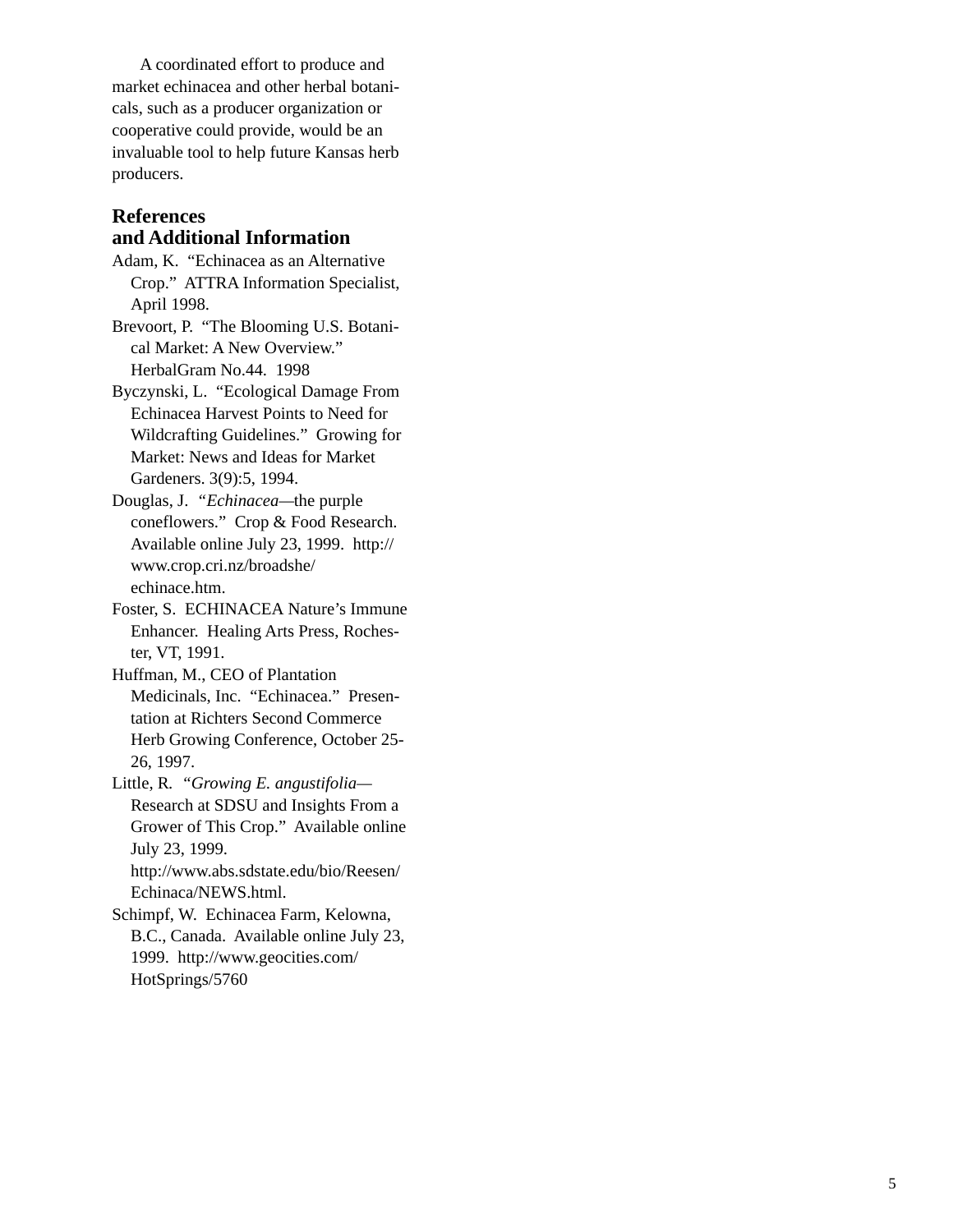A coordinated effort to produce and market echinacea and other herbal botanicals, such as a producer organization or cooperative could provide, would be an invaluable tool to help future Kansas herb producers.

## **References and Additional Information**

Adam, K. "Echinacea as an Alternative Crop." ATTRA Information Specialist, April 1998.

Brevoort, P. "The Blooming U.S. Botanical Market: A New Overview." HerbalGram No.44. 1998

Byczynski, L. "Ecological Damage From Echinacea Harvest Points to Need for Wildcrafting Guidelines."Growing for Market: News and Ideas for Market Gardeners. 3(9):5, 1994.

Douglas, J. *"Echinacea—*the purple coneflowers." Crop & Food Research. Available online July 23, 1999. http:// www.crop.cri.nz/broadshe/ echinace.htm.

Foster, S. ECHINACEA Nature's Immune Enhancer. Healing Arts Press, Rochester, VT, 1991.

Huffman, M., CEO of Plantation Medicinals, Inc. "Echinacea." Presentation at Richters Second Commerce Herb Growing Conference, October 25- 26, 1997.

Little, R*. "Growing E. angustifolia—* Research at SDSU and Insights From a Grower of This Crop." Available online July 23, 1999. http://www.abs.sdstate.edu/bio/Reesen/

Echinaca/NEWS.html.

Schimpf, W. Echinacea Farm, Kelowna, B.C., Canada. Available online July 23, 1999. http://www.geocities.com/ HotSprings/5760